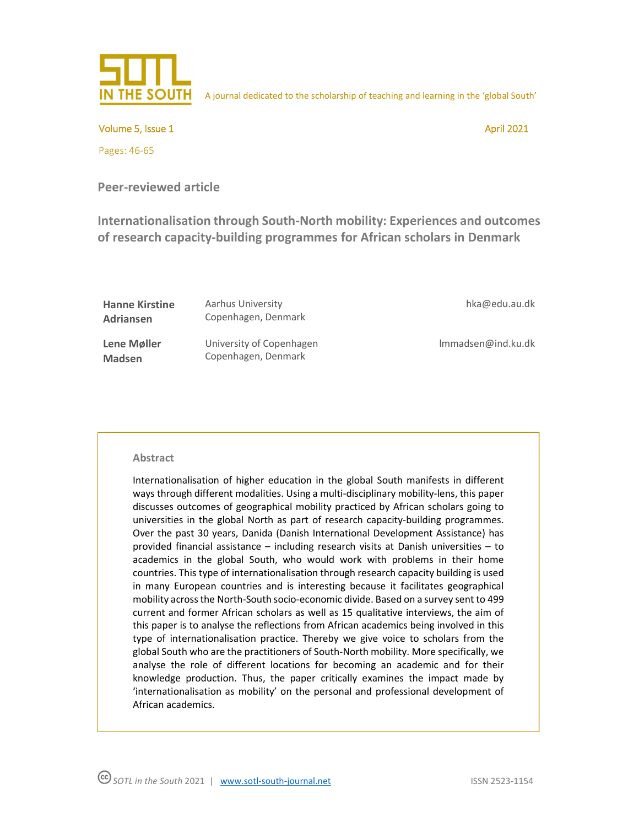

A journal dedicated to the scholarship of teaching and learning in the 'global South'

Volume 5, Issue 1 April 2021

Pages: 46-65

**Peer-reviewed article** 

**Internationalisation through South-North mobility: Experiences and outcomes of research capacity-building programmes for African scholars in Denmark** 

| <b>Hanne Kirstine</b><br>Adriansen | Aarhus University<br>Copenhagen, Denmark        | hka@edu.au.dk      |
|------------------------------------|-------------------------------------------------|--------------------|
| Lene Møller<br><b>Madsen</b>       | University of Copenhagen<br>Copenhagen, Denmark | lmmadsen@ind.ku.dk |

### **Abstract**

Internationalisation of higher education in the global South manifests in different ways through different modalities. Using a multi-disciplinary mobility-lens, this paper discusses outcomes of geographical mobility practiced by African scholars going to universities in the global North as part of research capacity-building programmes. Over the past 30 years, Danida (Danish International Development Assistance) has provided financial assistance – including research visits at Danish universities – to academics in the global South, who would work with problems in their home countries. This type of internationalisation through research capacity building is used in many European countries and is interesting because it facilitates geographical mobility across the North-South socio-economic divide. Based on a survey sent to 499 current and former African scholars as well as 15 qualitative interviews, the aim of this paper is to analyse the reflections from African academics being involved in this type of internationalisation practice. Thereby we give voice to scholars from the global South who are the practitioners of South-North mobility. More specifically, we analyse the role of different locations for becoming an academic and for their knowledge production. Thus, the paper critically examines the impact made by 'internationalisation as mobility' on the personal and professional development of African academics.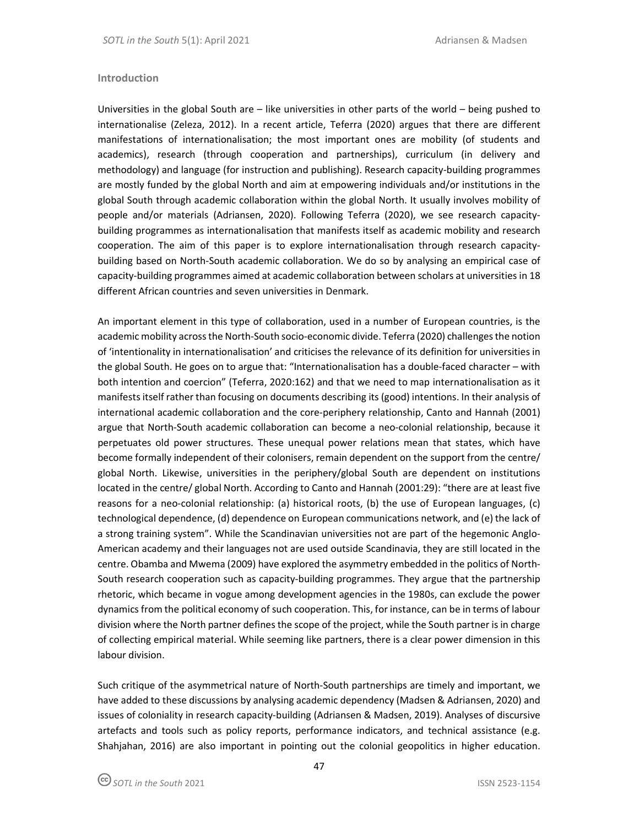### **Introduction**

Universities in the global South are – like universities in other parts of the world – being pushed to internationalise (Zeleza, 2012). In a recent article, Teferra (2020) argues that there are different manifestations of internationalisation; the most important ones are mobility (of students and academics), research (through cooperation and partnerships), curriculum (in delivery and methodology) and language (for instruction and publishing). Research capacity-building programmes are mostly funded by the global North and aim at empowering individuals and/or institutions in the global South through academic collaboration within the global North. It usually involves mobility of people and/or materials (Adriansen, 2020). Following Teferra (2020), we see research capacitybuilding programmes as internationalisation that manifests itself as academic mobility and research cooperation. The aim of this paper is to explore internationalisation through research capacitybuilding based on North-South academic collaboration. We do so by analysing an empirical case of capacity-building programmes aimed at academic collaboration between scholars at universities in 18 different African countries and seven universities in Denmark.

An important element in this type of collaboration, used in a number of European countries, is the academic mobility across the North-South socio-economic divide. Teferra (2020) challenges the notion of 'intentionality in internationalisation' and criticises the relevance of its definition for universities in the global South. He goes on to argue that: "Internationalisation has a double-faced character – with both intention and coercion" (Teferra, 2020:162) and that we need to map internationalisation as it manifests itself rather than focusing on documents describing its (good) intentions. In their analysis of international academic collaboration and the core-periphery relationship, Canto and Hannah (2001) argue that North-South academic collaboration can become a neo-colonial relationship, because it perpetuates old power structures. These unequal power relations mean that states, which have become formally independent of their colonisers, remain dependent on the support from the centre/ global North. Likewise, universities in the periphery/global South are dependent on institutions located in the centre/ global North. According to Canto and Hannah (2001:29): "there are at least five reasons for a neo-colonial relationship: (a) historical roots, (b) the use of European languages, (c) technological dependence, (d) dependence on European communications network, and (e) the lack of a strong training system". While the Scandinavian universities not are part of the hegemonic Anglo-American academy and their languages not are used outside Scandinavia, they are still located in the centre. Obamba and Mwema (2009) have explored the asymmetry embedded in the politics of North-South research cooperation such as capacity-building programmes. They argue that the partnership rhetoric, which became in vogue among development agencies in the 1980s, can exclude the power dynamics from the political economy of such cooperation. This, for instance, can be in terms of labour division where the North partner defines the scope of the project, while the South partner is in charge of collecting empirical material. While seeming like partners, there is a clear power dimension in this labour division.

Such critique of the asymmetrical nature of North-South partnerships are timely and important, we have added to these discussions by analysing academic dependency (Madsen & Adriansen, 2020) and issues of coloniality in research capacity-building (Adriansen & Madsen, 2019). Analyses of discursive artefacts and tools such as policy reports, performance indicators, and technical assistance (e.g. Shahjahan, 2016) are also important in pointing out the colonial geopolitics in higher education.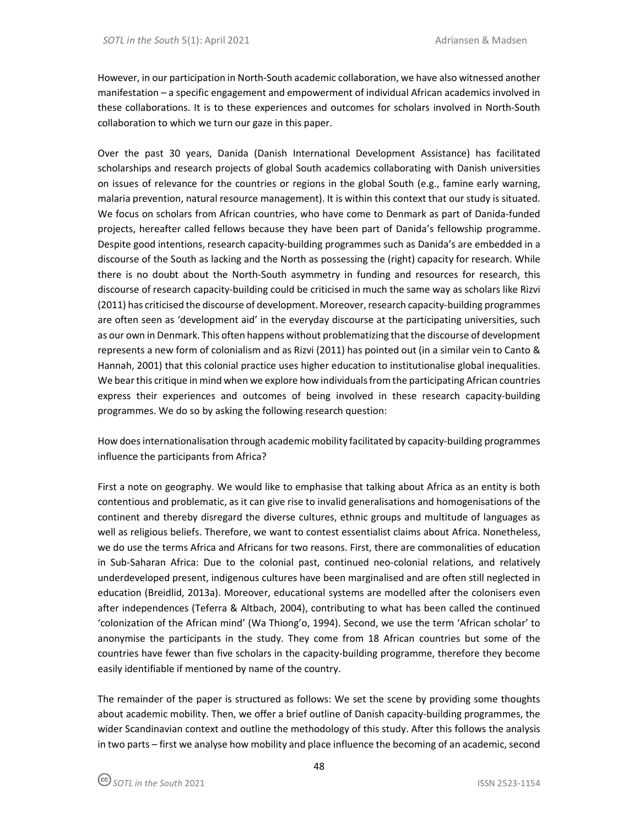However, in our participation in North-South academic collaboration, we have also witnessed another manifestation – a specific engagement and empowerment of individual African academics involved in these collaborations. It is to these experiences and outcomes for scholars involved in North-South collaboration to which we turn our gaze in this paper.

Over the past 30 years, Danida (Danish International Development Assistance) has facilitated scholarships and research projects of global South academics collaborating with Danish universities on issues of relevance for the countries or regions in the global South (e.g., famine early warning, malaria prevention, natural resource management). It is within this context that our study is situated. We focus on scholars from African countries, who have come to Denmark as part of Danida-funded projects, hereafter called fellows because they have been part of Danida's fellowship programme. Despite good intentions, research capacity-building programmes such as Danida's are embedded in a discourse of the South as lacking and the North as possessing the (right) capacity for research. While there is no doubt about the North-South asymmetry in funding and resources for research, this discourse of research capacity-building could be criticised in much the same way as scholars like Rizvi (2011) has criticised the discourse of development. Moreover, research capacity-building programmes are often seen as 'development aid' in the everyday discourse at the participating universities, such as our own in Denmark. This often happens without problematizing that the discourse of development represents a new form of colonialism and as Rizvi (2011) has pointed out (in a similar vein to Canto & Hannah, 2001) that this colonial practice uses higher education to institutionalise global inequalities. We bear this critique in mind when we explore how individuals from the participating African countries express their experiences and outcomes of being involved in these research capacity-building programmes. We do so by asking the following research question:

How does internationalisation through academic mobility facilitated by capacity-building programmes influence the participants from Africa?

First a note on geography. We would like to emphasise that talking about Africa as an entity is both contentious and problematic, as it can give rise to invalid generalisations and homogenisations of the continent and thereby disregard the diverse cultures, ethnic groups and multitude of languages as well as religious beliefs. Therefore, we want to contest essentialist claims about Africa. Nonetheless, we do use the terms Africa and Africans for two reasons. First, there are commonalities of education in Sub-Saharan Africa: Due to the colonial past, continued neo-colonial relations, and relatively underdeveloped present, indigenous cultures have been marginalised and are often still neglected in education (Breidlid, 2013a). Moreover, educational systems are modelled after the colonisers even after independences (Teferra & Altbach, 2004), contributing to what has been called the continued 'colonization of the African mind' (Wa Thiong'o, 1994). Second, we use the term 'African scholar' to anonymise the participants in the study. They come from 18 African countries but some of the countries have fewer than five scholars in the capacity-building programme, therefore they become easily identifiable if mentioned by name of the country.

The remainder of the paper is structured as follows: We set the scene by providing some thoughts about academic mobility. Then, we offer a brief outline of Danish capacity-building programmes, the wider Scandinavian context and outline the methodology of this study. After this follows the analysis in two parts – first we analyse how mobility and place influence the becoming of an academic, second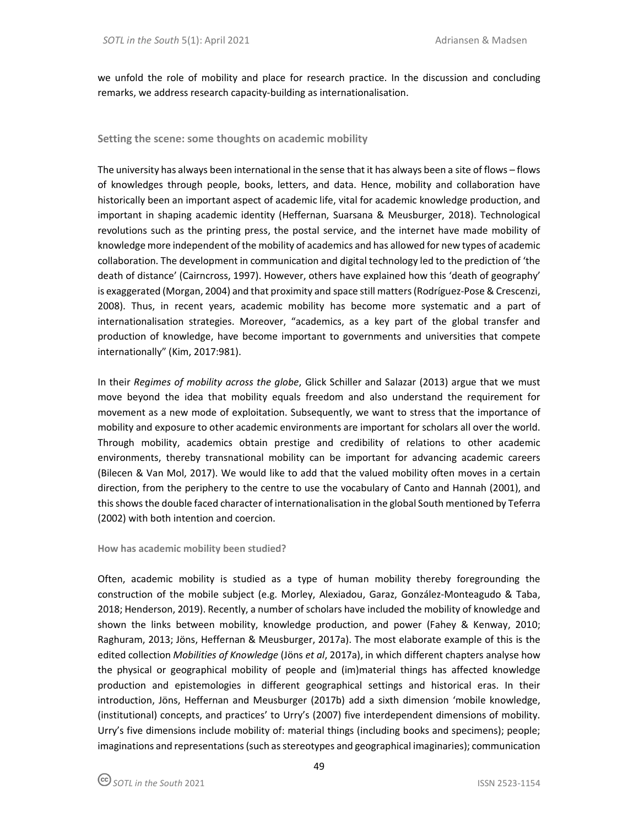we unfold the role of mobility and place for research practice. In the discussion and concluding remarks, we address research capacity-building as internationalisation.

## **Setting the scene: some thoughts on academic mobility**

The university has always been international in the sense that it has always been a site of flows – flows of knowledges through people, books, letters, and data. Hence, mobility and collaboration have historically been an important aspect of academic life, vital for academic knowledge production, and important in shaping academic identity (Heffernan, Suarsana & Meusburger, 2018). Technological revolutions such as the printing press, the postal service, and the internet have made mobility of knowledge more independent of the mobility of academics and has allowed for new types of academic collaboration. The development in communication and digital technology led to the prediction of 'the death of distance' (Cairncross, 1997). However, others have explained how this 'death of geography' is exaggerated (Morgan, 2004) and that proximity and space still matters (Rodríguez-Pose & Crescenzi, 2008). Thus, in recent years, academic mobility has become more systematic and a part of internationalisation strategies. Moreover, "academics, as a key part of the global transfer and production of knowledge, have become important to governments and universities that compete internationally" (Kim, 2017:981).

In their *Regimes of mobility across the globe*, Glick Schiller and Salazar (2013) argue that we must move beyond the idea that mobility equals freedom and also understand the requirement for movement as a new mode of exploitation. Subsequently, we want to stress that the importance of mobility and exposure to other academic environments are important for scholars all over the world. Through mobility, academics obtain prestige and credibility of relations to other academic environments, thereby transnational mobility can be important for advancing academic careers (Bilecen & Van Mol, 2017). We would like to add that the valued mobility often moves in a certain direction, from the periphery to the centre to use the vocabulary of Canto and Hannah (2001), and this shows the double faced character of internationalisation in the global South mentioned by Teferra (2002) with both intention and coercion.

### **How has academic mobility been studied?**

Often, academic mobility is studied as a type of human mobility thereby foregrounding the construction of the mobile subject (e.g. Morley, Alexiadou, Garaz, González-Monteagudo & Taba, 2018; Henderson, 2019). Recently, a number of scholars have included the mobility of knowledge and shown the links between mobility, knowledge production, and power (Fahey & Kenway, 2010; Raghuram, 2013; Jöns, Heffernan & Meusburger, 2017a). The most elaborate example of this is the edited collection *Mobilities of Knowledge* (Jöns *et al*, 2017a), in which different chapters analyse how the physical or geographical mobility of people and (im)material things has affected knowledge production and epistemologies in different geographical settings and historical eras. In their introduction, Jöns, Heffernan and Meusburger (2017b) add a sixth dimension 'mobile knowledge, (institutional) concepts, and practices' to Urry's (2007) five interdependent dimensions of mobility. Urry's five dimensions include mobility of: material things (including books and specimens); people; imaginations and representations (such as stereotypes and geographical imaginaries); communication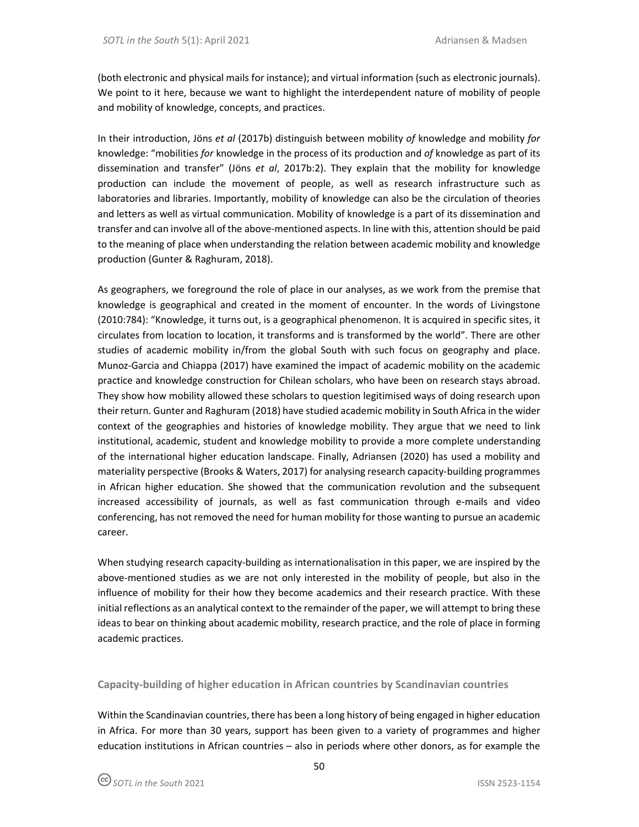(both electronic and physical mails for instance); and virtual information (such as electronic journals). We point to it here, because we want to highlight the interdependent nature of mobility of people and mobility of knowledge, concepts, and practices.

In their introduction, Jöns *et al* (2017b) distinguish between mobility *of* knowledge and mobility *for* knowledge: "mobilities *for* knowledge in the process of its production and *of* knowledge as part of its dissemination and transfer" (Jöns *et al*, 2017b:2). They explain that the mobility for knowledge production can include the movement of people, as well as research infrastructure such as laboratories and libraries. Importantly, mobility of knowledge can also be the circulation of theories and letters as well as virtual communication. Mobility of knowledge is a part of its dissemination and transfer and can involve all of the above-mentioned aspects. In line with this, attention should be paid to the meaning of place when understanding the relation between academic mobility and knowledge production (Gunter & Raghuram, 2018).

As geographers, we foreground the role of place in our analyses, as we work from the premise that knowledge is geographical and created in the moment of encounter. In the words of Livingstone (2010:784): "Knowledge, it turns out, is a geographical phenomenon. It is acquired in specific sites, it circulates from location to location, it transforms and is transformed by the world". There are other studies of academic mobility in/from the global South with such focus on geography and place. Munoz-Garcia and Chiappa (2017) have examined the impact of academic mobility on the academic practice and knowledge construction for Chilean scholars, who have been on research stays abroad. They show how mobility allowed these scholars to question legitimised ways of doing research upon their return. Gunter and Raghuram (2018) have studied academic mobility in South Africa in the wider context of the geographies and histories of knowledge mobility. They argue that we need to link institutional, academic, student and knowledge mobility to provide a more complete understanding of the international higher education landscape. Finally, Adriansen (2020) has used a mobility and materiality perspective (Brooks & Waters, 2017) for analysing research capacity-building programmes in African higher education. She showed that the communication revolution and the subsequent increased accessibility of journals, as well as fast communication through e-mails and video conferencing, has not removed the need for human mobility for those wanting to pursue an academic career.

When studying research capacity-building as internationalisation in this paper, we are inspired by the above-mentioned studies as we are not only interested in the mobility of people, but also in the influence of mobility for their how they become academics and their research practice. With these initial reflections as an analytical context to the remainder of the paper, we will attempt to bring these ideas to bear on thinking about academic mobility, research practice, and the role of place in forming academic practices.

**Capacity-building of higher education in African countries by Scandinavian countries** 

Within the Scandinavian countries, there has been a long history of being engaged in higher education in Africa. For more than 30 years, support has been given to a variety of programmes and higher education institutions in African countries – also in periods where other donors, as for example the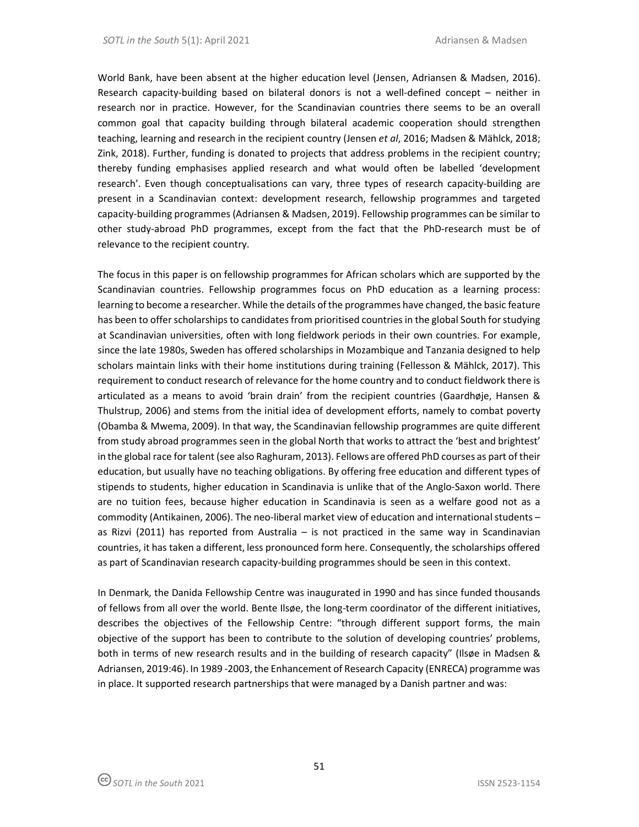World Bank, have been absent at the higher education level (Jensen, Adriansen & Madsen, 2016). Research capacity-building based on bilateral donors is not a well-defined concept – neither in research nor in practice. However, for the Scandinavian countries there seems to be an overall common goal that capacity building through bilateral academic cooperation should strengthen teaching, learning and research in the recipient country (Jensen *et al*, 2016; Madsen & Mählck, 2018; Zink, 2018). Further, funding is donated to projects that address problems in the recipient country; thereby funding emphasises applied research and what would often be labelled 'development research'. Even though conceptualisations can vary, three types of research capacity-building are present in a Scandinavian context: development research, fellowship programmes and targeted capacity-building programmes (Adriansen & Madsen, 2019). Fellowship programmes can be similar to other study-abroad PhD programmes, except from the fact that the PhD-research must be of relevance to the recipient country.

The focus in this paper is on fellowship programmes for African scholars which are supported by the Scandinavian countries. Fellowship programmes focus on PhD education as a learning process: learning to become a researcher. While the details of the programmes have changed, the basic feature has been to offer scholarships to candidates from prioritised countries in the global South for studying at Scandinavian universities, often with long fieldwork periods in their own countries. For example, since the late 1980s, Sweden has offered scholarships in Mozambique and Tanzania designed to help scholars maintain links with their home institutions during training (Fellesson & Mählck, 2017). This requirement to conduct research of relevance for the home country and to conduct fieldwork there is articulated as a means to avoid 'brain drain' from the recipient countries (Gaardhøje, Hansen & Thulstrup, 2006) and stems from the initial idea of development efforts, namely to combat poverty (Obamba & Mwema, 2009). In that way, the Scandinavian fellowship programmes are quite different from study abroad programmes seen in the global North that works to attract the 'best and brightest' in the global race for talent (see also Raghuram, 2013). Fellows are offered PhD courses as part of their education, but usually have no teaching obligations. By offering free education and different types of stipends to students, higher education in Scandinavia is unlike that of the Anglo-Saxon world. There are no tuition fees, because higher education in Scandinavia is seen as a welfare good not as a commodity (Antikainen, 2006). The neo-liberal market view of education and international students – as Rizvi (2011) has reported from Australia – is not practiced in the same way in Scandinavian countries, it has taken a different, less pronounced form here. Consequently, the scholarships offered as part of Scandinavian research capacity-building programmes should be seen in this context.

In Denmark, the Danida Fellowship Centre was inaugurated in 1990 and has since funded thousands of fellows from all over the world. Bente Ilsøe, the long-term coordinator of the different initiatives, describes the objectives of the Fellowship Centre: "through different support forms, the main objective of the support has been to contribute to the solution of developing countries' problems, both in terms of new research results and in the building of research capacity" (Ilsøe in Madsen & Adriansen, 2019:46). In 1989 -2003, the Enhancement of Research Capacity (ENRECA) programme was in place. It supported research partnerships that were managed by a Danish partner and was: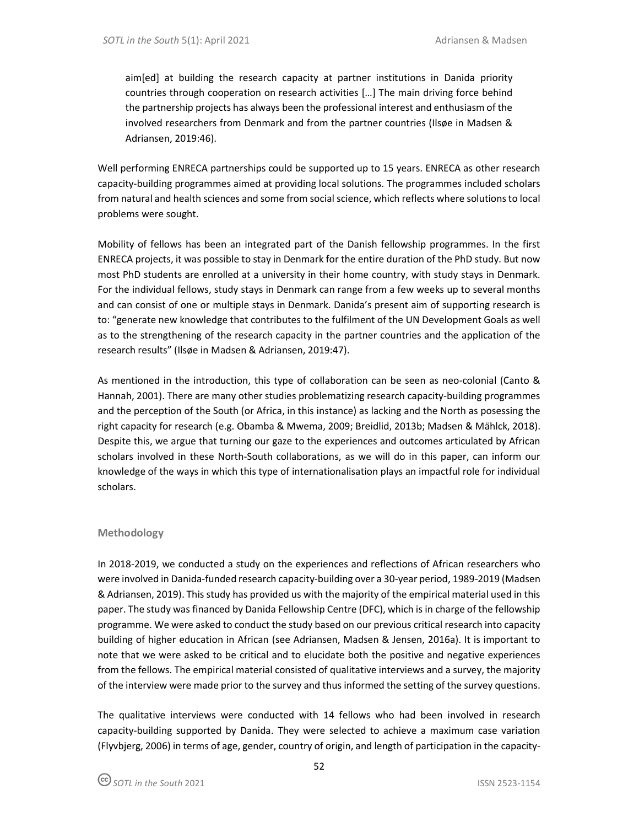aim[ed] at building the research capacity at partner institutions in Danida priority countries through cooperation on research activities […] The main driving force behind the partnership projects has always been the professional interest and enthusiasm of the involved researchers from Denmark and from the partner countries (Ilsøe in Madsen & Adriansen, 2019:46).

Well performing ENRECA partnerships could be supported up to 15 years. ENRECA as other research capacity-building programmes aimed at providing local solutions. The programmes included scholars from natural and health sciences and some from social science, which reflects where solutions to local problems were sought.

Mobility of fellows has been an integrated part of the Danish fellowship programmes. In the first ENRECA projects, it was possible to stay in Denmark for the entire duration of the PhD study. But now most PhD students are enrolled at a university in their home country, with study stays in Denmark. For the individual fellows, study stays in Denmark can range from a few weeks up to several months and can consist of one or multiple stays in Denmark. Danida's present aim of supporting research is to: "generate new knowledge that contributes to the fulfilment of the UN Development Goals as well as to the strengthening of the research capacity in the partner countries and the application of the research results" (Ilsøe in Madsen & Adriansen, 2019:47).

As mentioned in the introduction, this type of collaboration can be seen as neo-colonial (Canto & Hannah, 2001). There are many other studies problematizing research capacity-building programmes and the perception of the South (or Africa, in this instance) as lacking and the North as posessing the right capacity for research (e.g. Obamba & Mwema, 2009; Breidlid, 2013b; Madsen & Mählck, 2018). Despite this, we argue that turning our gaze to the experiences and outcomes articulated by African scholars involved in these North-South collaborations, as we will do in this paper, can inform our knowledge of the ways in which this type of internationalisation plays an impactful role for individual scholars.

# **Methodology**

In 2018-2019, we conducted a study on the experiences and reflections of African researchers who were involved in Danida-funded research capacity-building over a 30-year period, 1989-2019 (Madsen & Adriansen, 2019). This study has provided us with the majority of the empirical material used in this paper. The study was financed by Danida Fellowship Centre (DFC), which is in charge of the fellowship programme. We were asked to conduct the study based on our previous critical research into capacity building of higher education in African (see Adriansen, Madsen & Jensen, 2016a). It is important to note that we were asked to be critical and to elucidate both the positive and negative experiences from the fellows. The empirical material consisted of qualitative interviews and a survey, the majority of the interview were made prior to the survey and thus informed the setting of the survey questions.

The qualitative interviews were conducted with 14 fellows who had been involved in research capacity-building supported by Danida. They were selected to achieve a maximum case variation (Flyvbjerg, 2006) in terms of age, gender, country of origin, and length of participation in the capacity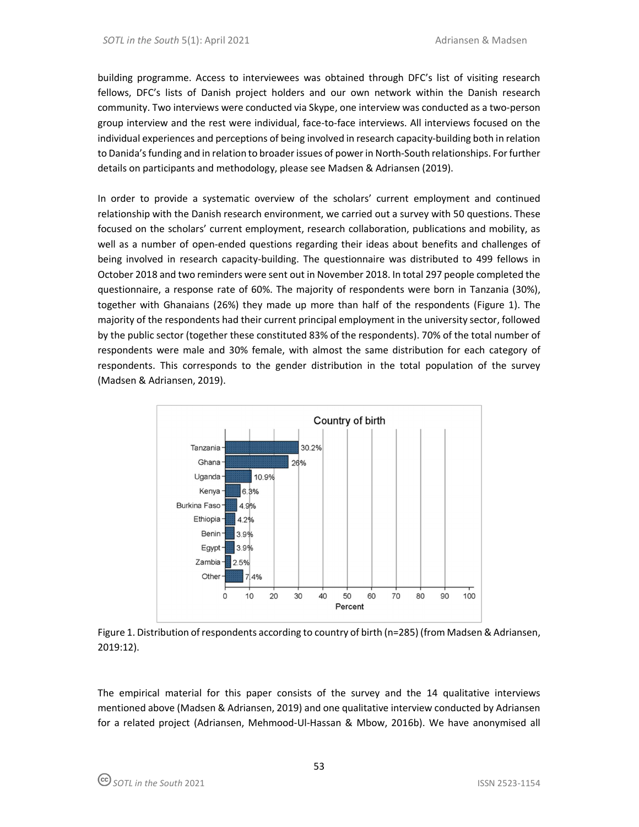building programme. Access to interviewees was obtained through DFC's list of visiting research fellows, DFC's lists of Danish project holders and our own network within the Danish research community. Two interviews were conducted via Skype, one interview was conducted as a two-person group interview and the rest were individual, face-to-face interviews. All interviews focused on the individual experiences and perceptions of being involved in research capacity-building both in relation to Danida's funding and in relation to broader issues of power in North-South relationships. For further details on participants and methodology, please see Madsen & Adriansen (2019).

In order to provide a systematic overview of the scholars' current employment and continued relationship with the Danish research environment, we carried out a survey with 50 questions. These focused on the scholars' current employment, research collaboration, publications and mobility, as well as a number of open-ended questions regarding their ideas about benefits and challenges of being involved in research capacity-building. The questionnaire was distributed to 499 fellows in October 2018 and two reminders were sent out in November 2018. In total 297 people completed the questionnaire, a response rate of 60%. The majority of respondents were born in Tanzania (30%), together with Ghanaians (26%) they made up more than half of the respondents (Figure 1). The majority of the respondents had their current principal employment in the university sector, followed by the public sector (together these constituted 83% of the respondents). 70% of the total number of respondents were male and 30% female, with almost the same distribution for each category of respondents. This corresponds to the gender distribution in the total population of the survey (Madsen & Adriansen, 2019).



Figure 1. Distribution of respondents according to country of birth (n=285) (from Madsen & Adriansen, 2019:12).

The empirical material for this paper consists of the survey and the 14 qualitative interviews mentioned above (Madsen & Adriansen, 2019) and one qualitative interview conducted by Adriansen for a related project (Adriansen, Mehmood-Ul-Hassan & Mbow, 2016b). We have anonymised all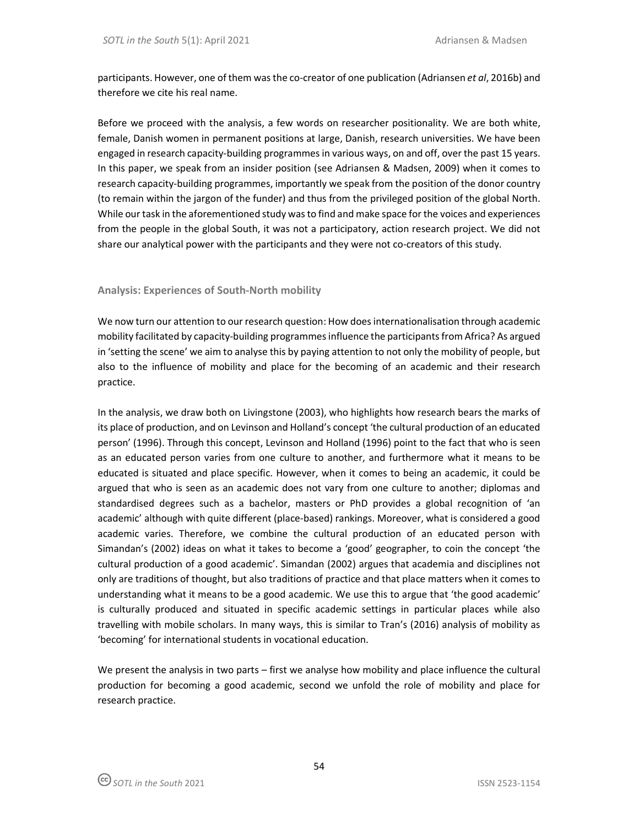participants. However, one of them was the co-creator of one publication (Adriansen *et al*, 2016b) and therefore we cite his real name.

Before we proceed with the analysis, a few words on researcher positionality. We are both white, female, Danish women in permanent positions at large, Danish, research universities. We have been engaged in research capacity-building programmes in various ways, on and off, over the past 15 years. In this paper, we speak from an insider position (see Adriansen & Madsen, 2009) when it comes to research capacity-building programmes, importantly we speak from the position of the donor country (to remain within the jargon of the funder) and thus from the privileged position of the global North. While our task in the aforementioned study was to find and make space for the voices and experiences from the people in the global South, it was not a participatory, action research project. We did not share our analytical power with the participants and they were not co-creators of this study.

# **Analysis: Experiences of South-North mobility**

We now turn our attention to our research question: How does internationalisation through academic mobility facilitated by capacity-building programmes influence the participants from Africa? As argued in 'setting the scene' we aim to analyse this by paying attention to not only the mobility of people, but also to the influence of mobility and place for the becoming of an academic and their research practice.

In the analysis, we draw both on Livingstone (2003), who highlights how research bears the marks of its place of production, and on Levinson and Holland's concept 'the cultural production of an educated person' (1996). Through this concept, Levinson and Holland (1996) point to the fact that who is seen as an educated person varies from one culture to another, and furthermore what it means to be educated is situated and place specific. However, when it comes to being an academic, it could be argued that who is seen as an academic does not vary from one culture to another; diplomas and standardised degrees such as a bachelor, masters or PhD provides a global recognition of 'an academic' although with quite different (place-based) rankings. Moreover, what is considered a good academic varies. Therefore, we combine the cultural production of an educated person with Simandan's (2002) ideas on what it takes to become a 'good' geographer, to coin the concept 'the cultural production of a good academic'. Simandan (2002) argues that academia and disciplines not only are traditions of thought, but also traditions of practice and that place matters when it comes to understanding what it means to be a good academic. We use this to argue that 'the good academic' is culturally produced and situated in specific academic settings in particular places while also travelling with mobile scholars. In many ways, this is similar to Tran's (2016) analysis of mobility as 'becoming' for international students in vocational education.

We present the analysis in two parts – first we analyse how mobility and place influence the cultural production for becoming a good academic, second we unfold the role of mobility and place for research practice.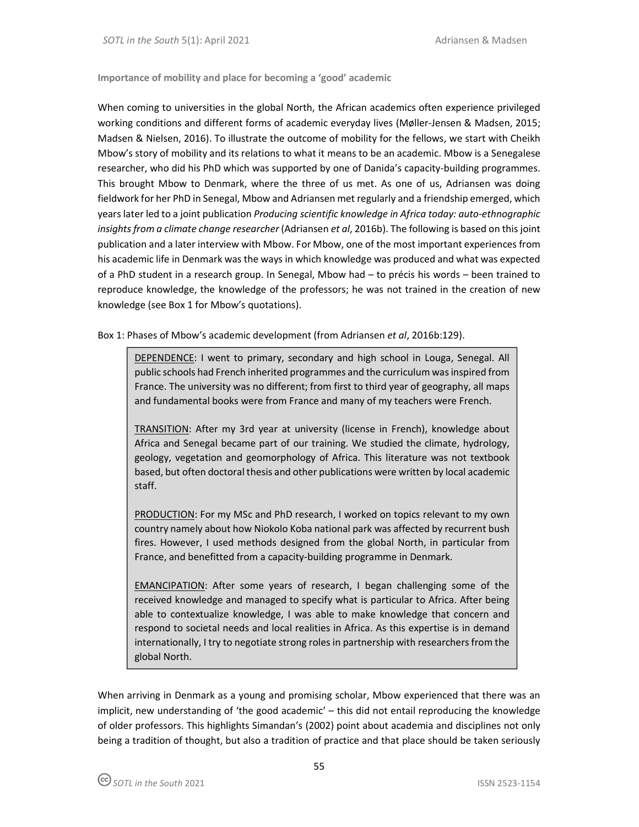**Importance of mobility and place for becoming a 'good' academic** 

When coming to universities in the global North, the African academics often experience privileged working conditions and different forms of academic everyday lives (Møller-Jensen & Madsen, 2015; Madsen & Nielsen, 2016). To illustrate the outcome of mobility for the fellows, we start with Cheikh Mbow's story of mobility and its relations to what it means to be an academic. Mbow is a Senegalese researcher, who did his PhD which was supported by one of Danida's capacity-building programmes. This brought Mbow to Denmark, where the three of us met. As one of us, Adriansen was doing fieldwork for her PhD in Senegal, Mbow and Adriansen met regularly and a friendship emerged, which years later led to a joint publication *Producing scientific knowledge in Africa today: auto-ethnographic insights from a climate change researcher* (Adriansen *et al*, 2016b). The following is based on this joint publication and a later interview with Mbow. For Mbow, one of the most important experiences from his academic life in Denmark was the ways in which knowledge was produced and what was expected of a PhD student in a research group. In Senegal, Mbow had – to précis his words – been trained to reproduce knowledge, the knowledge of the professors; he was not trained in the creation of new knowledge (see Box 1 for Mbow's quotations).

Box 1: Phases of Mbow's academic development (from Adriansen *et al*, 2016b:129).

DEPENDENCE: I went to primary, secondary and high school in Louga, Senegal. All public schools had French inherited programmes and the curriculum was inspired from France. The university was no different; from first to third year of geography, all maps and fundamental books were from France and many of my teachers were French.

TRANSITION: After my 3rd year at university (license in French), knowledge about Africa and Senegal became part of our training. We studied the climate, hydrology, geology, vegetation and geomorphology of Africa. This literature was not textbook based, but often doctoral thesis and other publications were written by local academic staff.

PRODUCTION: For my MSc and PhD research, I worked on topics relevant to my own country namely about how Niokolo Koba national park was affected by recurrent bush fires. However, I used methods designed from the global North, in particular from France, and benefitted from a capacity-building programme in Denmark.

EMANCIPATION: After some years of research, I began challenging some of the received knowledge and managed to specify what is particular to Africa. After being able to contextualize knowledge, I was able to make knowledge that concern and respond to societal needs and local realities in Africa. As this expertise is in demand internationally, I try to negotiate strong roles in partnership with researchers from the global North.

When arriving in Denmark as a young and promising scholar, Mbow experienced that there was an implicit, new understanding of 'the good academic' – this did not entail reproducing the knowledge of older professors. This highlights Simandan's (2002) point about academia and disciplines not only being a tradition of thought, but also a tradition of practice and that place should be taken seriously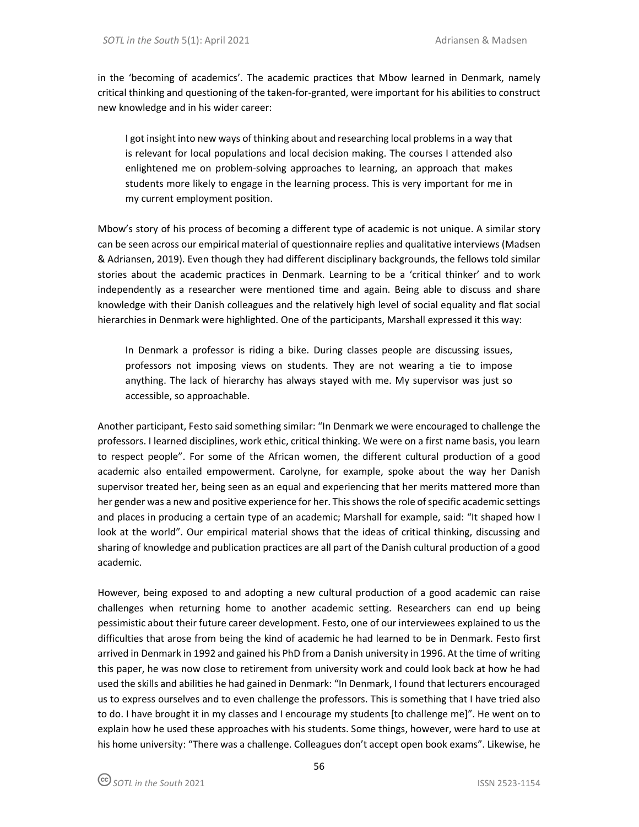in the 'becoming of academics'. The academic practices that Mbow learned in Denmark, namely critical thinking and questioning of the taken-for-granted, were important for his abilities to construct new knowledge and in his wider career:

I got insight into new ways of thinking about and researching local problems in a way that is relevant for local populations and local decision making. The courses I attended also enlightened me on problem-solving approaches to learning, an approach that makes students more likely to engage in the learning process. This is very important for me in my current employment position.

Mbow's story of his process of becoming a different type of academic is not unique. A similar story can be seen across our empirical material of questionnaire replies and qualitative interviews (Madsen & Adriansen, 2019). Even though they had different disciplinary backgrounds, the fellows told similar stories about the academic practices in Denmark. Learning to be a 'critical thinker' and to work independently as a researcher were mentioned time and again. Being able to discuss and share knowledge with their Danish colleagues and the relatively high level of social equality and flat social hierarchies in Denmark were highlighted. One of the participants, Marshall expressed it this way:

In Denmark a professor is riding a bike. During classes people are discussing issues, professors not imposing views on students. They are not wearing a tie to impose anything. The lack of hierarchy has always stayed with me. My supervisor was just so accessible, so approachable.

Another participant, Festo said something similar: "In Denmark we were encouraged to challenge the professors. I learned disciplines, work ethic, critical thinking. We were on a first name basis, you learn to respect people". For some of the African women, the different cultural production of a good academic also entailed empowerment. Carolyne, for example, spoke about the way her Danish supervisor treated her, being seen as an equal and experiencing that her merits mattered more than her gender was a new and positive experience for her. This shows the role of specific academic settings and places in producing a certain type of an academic; Marshall for example, said: "It shaped how I look at the world". Our empirical material shows that the ideas of critical thinking, discussing and sharing of knowledge and publication practices are all part of the Danish cultural production of a good academic.

However, being exposed to and adopting a new cultural production of a good academic can raise challenges when returning home to another academic setting. Researchers can end up being pessimistic about their future career development. Festo, one of our interviewees explained to us the difficulties that arose from being the kind of academic he had learned to be in Denmark. Festo first arrived in Denmark in 1992 and gained his PhD from a Danish university in 1996. At the time of writing this paper, he was now close to retirement from university work and could look back at how he had used the skills and abilities he had gained in Denmark: "In Denmark, I found that lecturers encouraged us to express ourselves and to even challenge the professors. This is something that I have tried also to do. I have brought it in my classes and I encourage my students [to challenge me]". He went on to explain how he used these approaches with his students. Some things, however, were hard to use at his home university: "There was a challenge. Colleagues don't accept open book exams". Likewise, he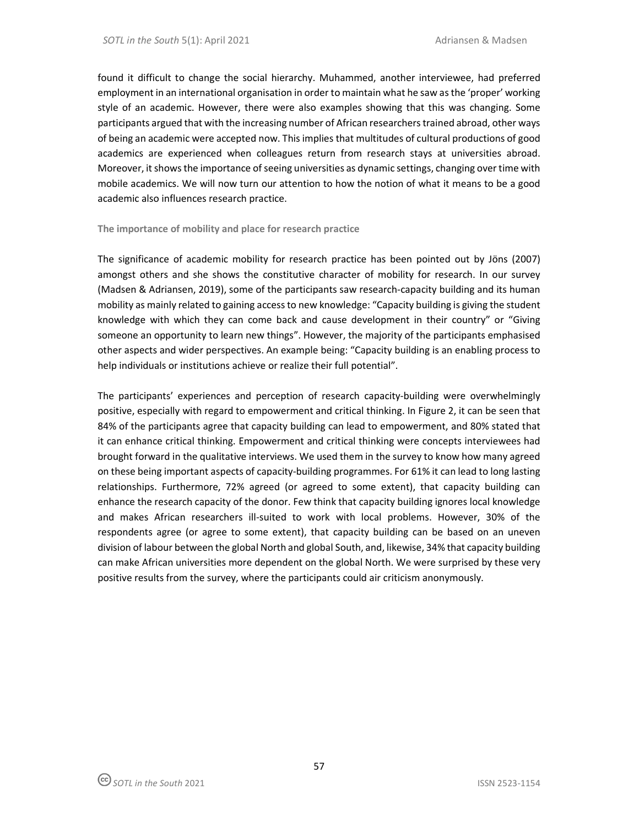found it difficult to change the social hierarchy. Muhammed, another interviewee, had preferred employment in an international organisation in order to maintain what he saw as the 'proper' working style of an academic. However, there were also examples showing that this was changing. Some participants argued that with the increasing number of African researchers trained abroad, other ways of being an academic were accepted now. This implies that multitudes of cultural productions of good academics are experienced when colleagues return from research stays at universities abroad. Moreover, it shows the importance of seeing universities as dynamic settings, changing over time with mobile academics. We will now turn our attention to how the notion of what it means to be a good academic also influences research practice.

### **The importance of mobility and place for research practice**

The significance of academic mobility for research practice has been pointed out by Jöns (2007) amongst others and she shows the constitutive character of mobility for research. In our survey (Madsen & Adriansen, 2019), some of the participants saw research-capacity building and its human mobility as mainly related to gaining access to new knowledge: "Capacity building is giving the student knowledge with which they can come back and cause development in their country" or "Giving someone an opportunity to learn new things". However, the majority of the participants emphasised other aspects and wider perspectives. An example being: "Capacity building is an enabling process to help individuals or institutions achieve or realize their full potential".

The participants' experiences and perception of research capacity-building were overwhelmingly positive, especially with regard to empowerment and critical thinking. In Figure 2, it can be seen that 84% of the participants agree that capacity building can lead to empowerment, and 80% stated that it can enhance critical thinking. Empowerment and critical thinking were concepts interviewees had brought forward in the qualitative interviews. We used them in the survey to know how many agreed on these being important aspects of capacity-building programmes. For 61% it can lead to long lasting relationships. Furthermore, 72% agreed (or agreed to some extent), that capacity building can enhance the research capacity of the donor. Few think that capacity building ignores local knowledge and makes African researchers ill-suited to work with local problems. However, 30% of the respondents agree (or agree to some extent), that capacity building can be based on an uneven division of labour between the global North and global South, and, likewise, 34% that capacity building can make African universities more dependent on the global North. We were surprised by these very positive results from the survey, where the participants could air criticism anonymously.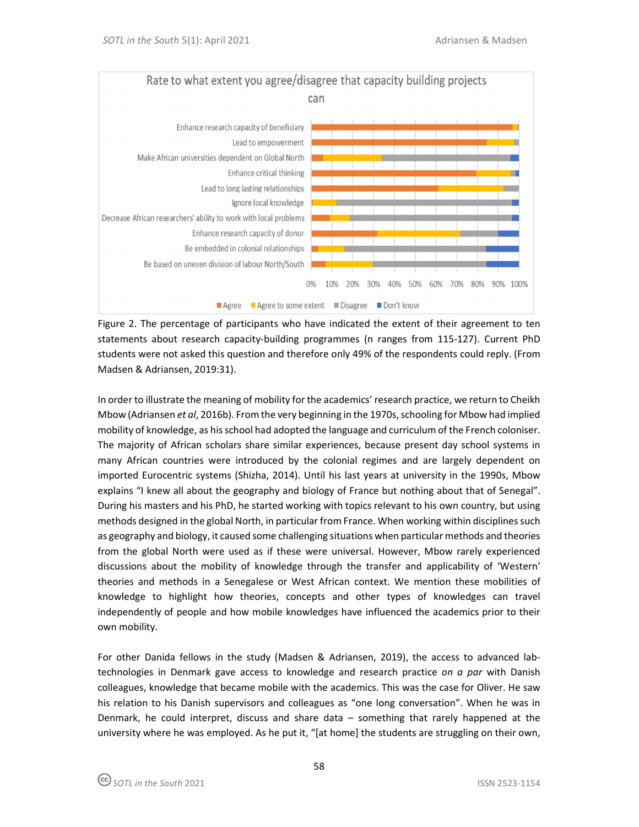

Figure 2. The percentage of participants who have indicated the extent of their agreement to ten statements about research capacity-building programmes (n ranges from 115-127). Current PhD students were not asked this question and therefore only 49% of the respondents could reply. (From Madsen & Adriansen, 2019:31).

In order to illustrate the meaning of mobility for the academics' research practice, we return to Cheikh Mbow (Adriansen *et al*, 2016b). From the very beginning in the 1970s, schooling for Mbow had implied mobility of knowledge, as his school had adopted the language and curriculum of the French coloniser. The majority of African scholars share similar experiences, because present day school systems in many African countries were introduced by the colonial regimes and are largely dependent on imported Eurocentric systems (Shizha, 2014). Until his last years at university in the 1990s, Mbow explains "I knew all about the geography and biology of France but nothing about that of Senegal". During his masters and his PhD, he started working with topics relevant to his own country, but using methods designed in the global North, in particular from France. When working within disciplines such as geography and biology, it caused some challenging situations when particular methods and theories from the global North were used as if these were universal. However, Mbow rarely experienced discussions about the mobility of knowledge through the transfer and applicability of 'Western' theories and methods in a Senegalese or West African context. We mention these mobilities of knowledge to highlight how theories, concepts and other types of knowledges can travel independently of people and how mobile knowledges have influenced the academics prior to their own mobility.

For other Danida fellows in the study (Madsen & Adriansen, 2019), the access to advanced labtechnologies in Denmark gave access to knowledge and research practice *on a par* with Danish colleagues, knowledge that became mobile with the academics. This was the case for Oliver. He saw his relation to his Danish supervisors and colleagues as "one long conversation". When he was in Denmark, he could interpret, discuss and share data – something that rarely happened at the university where he was employed. As he put it, "[at home] the students are struggling on their own,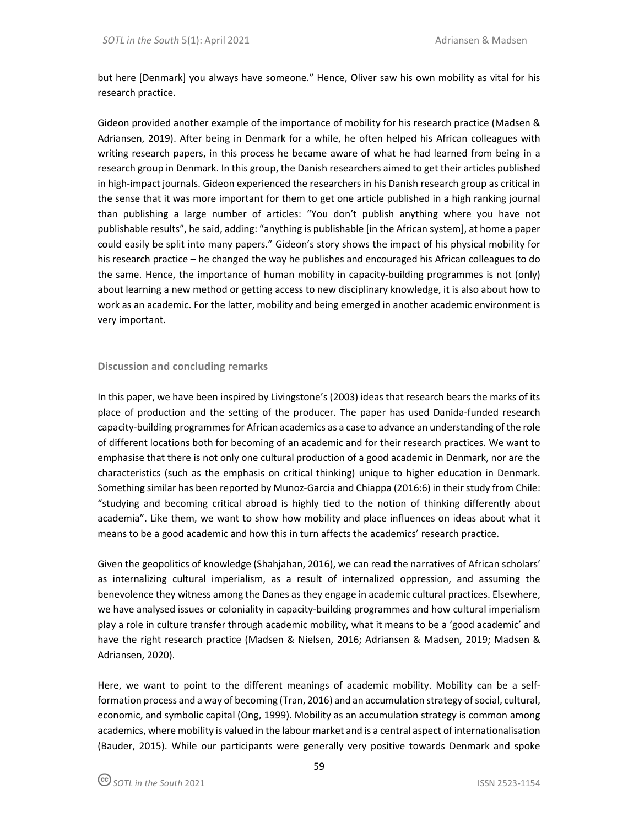but here [Denmark] you always have someone." Hence, Oliver saw his own mobility as vital for his research practice.

Gideon provided another example of the importance of mobility for his research practice (Madsen & Adriansen, 2019). After being in Denmark for a while, he often helped his African colleagues with writing research papers, in this process he became aware of what he had learned from being in a research group in Denmark. In this group, the Danish researchers aimed to get their articles published in high-impact journals. Gideon experienced the researchers in his Danish research group as critical in the sense that it was more important for them to get one article published in a high ranking journal than publishing a large number of articles: "You don't publish anything where you have not publishable results", he said, adding: "anything is publishable [in the African system], at home a paper could easily be split into many papers." Gideon's story shows the impact of his physical mobility for his research practice – he changed the way he publishes and encouraged his African colleagues to do the same. Hence, the importance of human mobility in capacity-building programmes is not (only) about learning a new method or getting access to new disciplinary knowledge, it is also about how to work as an academic. For the latter, mobility and being emerged in another academic environment is very important.

## **Discussion and concluding remarks**

In this paper, we have been inspired by Livingstone's (2003) ideas that research bears the marks of its place of production and the setting of the producer. The paper has used Danida-funded research capacity-building programmes for African academics as a case to advance an understanding of the role of different locations both for becoming of an academic and for their research practices. We want to emphasise that there is not only one cultural production of a good academic in Denmark, nor are the characteristics (such as the emphasis on critical thinking) unique to higher education in Denmark. Something similar has been reported by Munoz-Garcia and Chiappa (2016:6) in their study from Chile: "studying and becoming critical abroad is highly tied to the notion of thinking differently about academia". Like them, we want to show how mobility and place influences on ideas about what it means to be a good academic and how this in turn affects the academics' research practice.

Given the geopolitics of knowledge (Shahjahan, 2016), we can read the narratives of African scholars' as internalizing cultural imperialism, as a result of internalized oppression, and assuming the benevolence they witness among the Danes as they engage in academic cultural practices. Elsewhere, we have analysed issues or coloniality in capacity-building programmes and how cultural imperialism play a role in culture transfer through academic mobility, what it means to be a 'good academic' and have the right research practice (Madsen & Nielsen, 2016; Adriansen & Madsen, 2019; Madsen & Adriansen, 2020).

Here, we want to point to the different meanings of academic mobility. Mobility can be a selfformation process and a way of becoming (Tran, 2016) and an accumulation strategy of social, cultural, economic, and symbolic capital (Ong, 1999). Mobility as an accumulation strategy is common among academics, where mobility is valued in the labour market and is a central aspect of internationalisation (Bauder, 2015). While our participants were generally very positive towards Denmark and spoke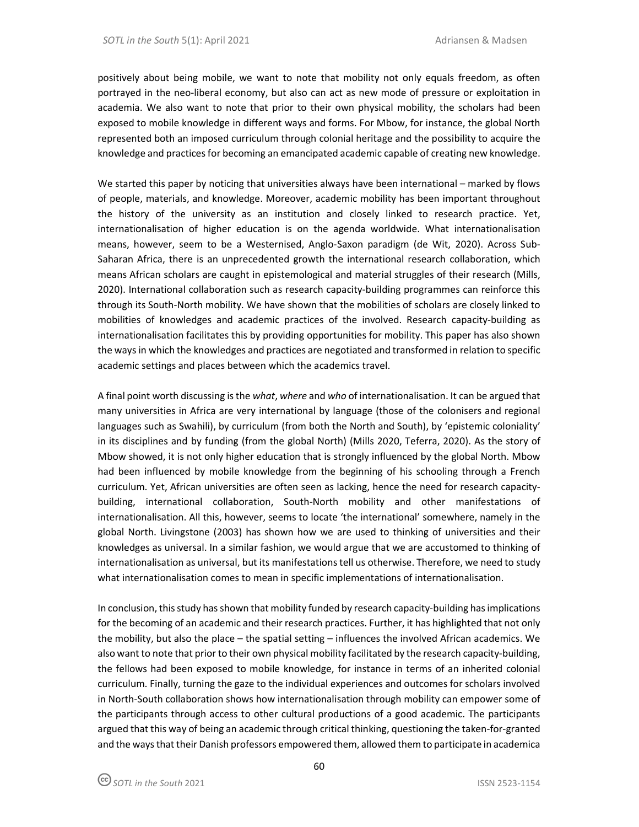positively about being mobile, we want to note that mobility not only equals freedom, as often portrayed in the neo-liberal economy, but also can act as new mode of pressure or exploitation in academia. We also want to note that prior to their own physical mobility, the scholars had been exposed to mobile knowledge in different ways and forms. For Mbow, for instance, the global North represented both an imposed curriculum through colonial heritage and the possibility to acquire the knowledge and practices for becoming an emancipated academic capable of creating new knowledge.

We started this paper by noticing that universities always have been international – marked by flows of people, materials, and knowledge. Moreover, academic mobility has been important throughout the history of the university as an institution and closely linked to research practice. Yet, internationalisation of higher education is on the agenda worldwide. What internationalisation means, however, seem to be a Westernised, Anglo-Saxon paradigm (de Wit, 2020). Across Sub-Saharan Africa, there is an unprecedented growth the international research collaboration, which means African scholars are caught in epistemological and material struggles of their research (Mills, 2020). International collaboration such as research capacity-building programmes can reinforce this through its South-North mobility. We have shown that the mobilities of scholars are closely linked to mobilities of knowledges and academic practices of the involved. Research capacity-building as internationalisation facilitates this by providing opportunities for mobility. This paper has also shown the ways in which the knowledges and practices are negotiated and transformed in relation to specific academic settings and places between which the academics travel.

A final point worth discussing is the *what*, *where* and *who* of internationalisation. It can be argued that many universities in Africa are very international by language (those of the colonisers and regional languages such as Swahili), by curriculum (from both the North and South), by 'epistemic coloniality' in its disciplines and by funding (from the global North) (Mills 2020, Teferra, 2020). As the story of Mbow showed, it is not only higher education that is strongly influenced by the global North. Mbow had been influenced by mobile knowledge from the beginning of his schooling through a French curriculum. Yet, African universities are often seen as lacking, hence the need for research capacitybuilding, international collaboration, South-North mobility and other manifestations of internationalisation. All this, however, seems to locate 'the international' somewhere, namely in the global North. Livingstone (2003) has shown how we are used to thinking of universities and their knowledges as universal. In a similar fashion, we would argue that we are accustomed to thinking of internationalisation as universal, but its manifestations tell us otherwise. Therefore, we need to study what internationalisation comes to mean in specific implementations of internationalisation.

In conclusion, this study has shown that mobility funded by research capacity-building has implications for the becoming of an academic and their research practices. Further, it has highlighted that not only the mobility, but also the place – the spatial setting – influences the involved African academics. We also want to note that prior to their own physical mobility facilitated by the research capacity-building, the fellows had been exposed to mobile knowledge, for instance in terms of an inherited colonial curriculum. Finally, turning the gaze to the individual experiences and outcomes for scholars involved in North-South collaboration shows how internationalisation through mobility can empower some of the participants through access to other cultural productions of a good academic. The participants argued that this way of being an academic through critical thinking, questioning the taken-for-granted and the ways that their Danish professors empowered them, allowed them to participate in academica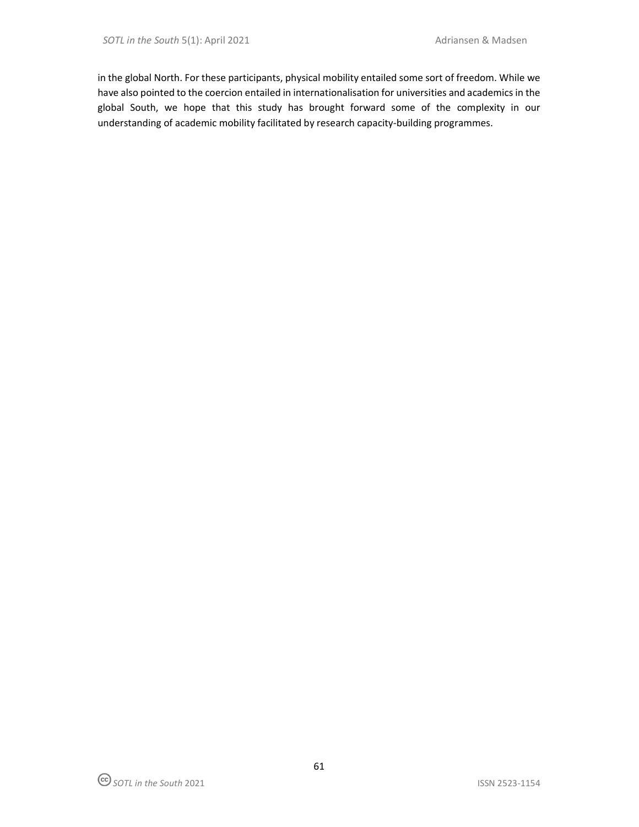in the global North. For these participants, physical mobility entailed some sort of freedom. While we have also pointed to the coercion entailed in internationalisation for universities and academics in the global South, we hope that this study has brought forward some of the complexity in our understanding of academic mobility facilitated by research capacity-building programmes.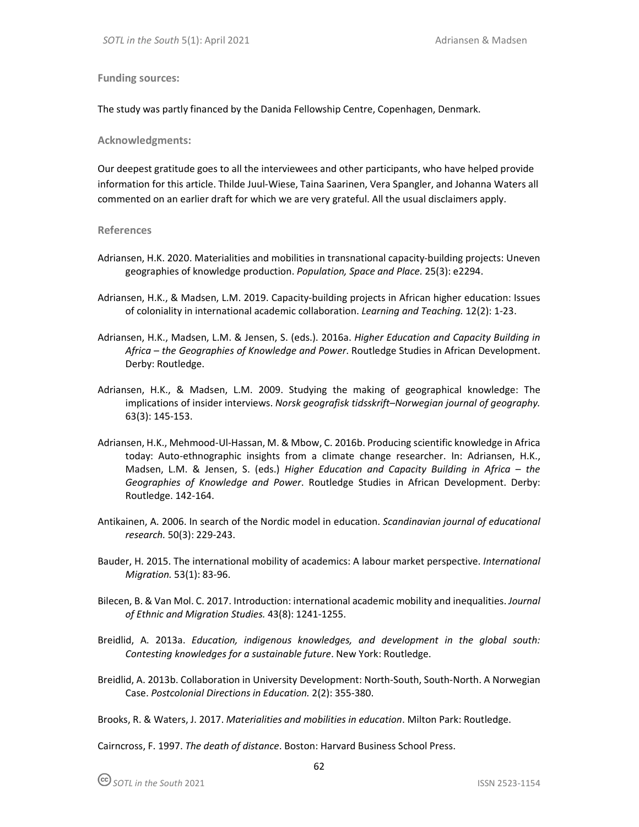**Funding sources:**

The study was partly financed by the Danida Fellowship Centre, Copenhagen, Denmark.

**Acknowledgments:** 

Our deepest gratitude goes to all the interviewees and other participants, who have helped provide information for this article. Thilde Juul-Wiese, Taina Saarinen, Vera Spangler, and Johanna Waters all commented on an earlier draft for which we are very grateful. All the usual disclaimers apply.

#### **References**

- Adriansen, H.K. 2020. Materialities and mobilities in transnational capacity-building projects: Uneven geographies of knowledge production. *Population, Space and Place.* 25(3): e2294.
- Adriansen, H.K., & Madsen, L.M. 2019. Capacity-building projects in African higher education: Issues of coloniality in international academic collaboration. *Learning and Teaching.* 12(2): 1-23.
- Adriansen, H.K., Madsen, L.M. & Jensen, S. (eds.). 2016a. *Higher Education and Capacity Building in Africa – the Geographies of Knowledge and Power*. Routledge Studies in African Development. Derby: Routledge.
- Adriansen, H.K., & Madsen, L.M. 2009. Studying the making of geographical knowledge: The implications of insider interviews. *Norsk geografisk tidsskrift–Norwegian journal of geography.*  63(3): 145-153.
- Adriansen, H.K., Mehmood-Ul-Hassan, M. & Mbow, C. 2016b. Producing scientific knowledge in Africa today: Auto-ethnographic insights from a climate change researcher. In: Adriansen, H.K., Madsen, L.M. & Jensen, S. (eds.) *Higher Education and Capacity Building in Africa – the Geographies of Knowledge and Power*. Routledge Studies in African Development. Derby: Routledge. 142-164.
- Antikainen, A. 2006. In search of the Nordic model in education. *Scandinavian journal of educational research.* 50(3): 229-243.
- Bauder, H. 2015. The international mobility of academics: A labour market perspective. *International Migration.* 53(1): 83-96.
- Bilecen, B. & Van Mol. C. 2017. Introduction: international academic mobility and inequalities. *Journal of Ethnic and Migration Studies.* 43(8): 1241-1255.
- Breidlid, A. 2013a. *Education, indigenous knowledges, and development in the global south: Contesting knowledges for a sustainable future*. New York: Routledge.
- Breidlid, A. 2013b. Collaboration in University Development: North-South, South-North. A Norwegian Case. *Postcolonial Directions in Education.* 2(2): 355-380.

Brooks, R. & Waters, J. 2017. *Materialities and mobilities in education*. Milton Park: Routledge.

Cairncross, F. 1997. *The death of distance*. Boston: Harvard Business School Press.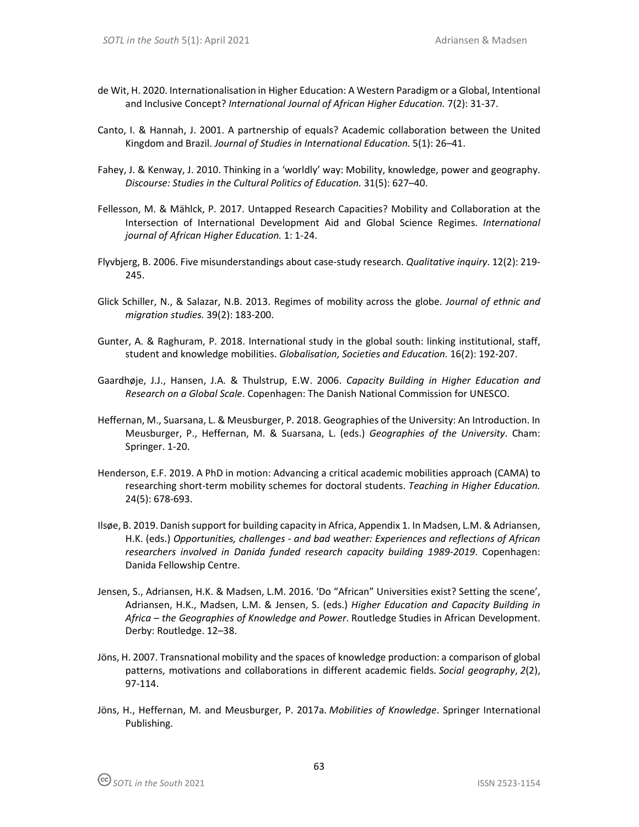- de Wit, H. 2020. Internationalisation in Higher Education: A Western Paradigm or a Global, Intentional and Inclusive Concept? *International Journal of African Higher Education.* 7(2): 31-37.
- Canto, I. & Hannah, J. 2001. A partnership of equals? Academic collaboration between the United Kingdom and Brazil. *Journal of Studies in International Education.* 5(1): 26–41.
- Fahey, J. & Kenway, J. 2010. Thinking in a 'worldly' way: Mobility, knowledge, power and geography. *Discourse: Studies in the Cultural Politics of Education.* 31(5): 627–40.
- Fellesson, M. & Mählck, P. 2017. Untapped Research Capacities? Mobility and Collaboration at the Intersection of International Development Aid and Global Science Regimes. *International journal of African Higher Education.* 1: 1-24.
- Flyvbjerg, B. 2006. Five misunderstandings about case-study research. *Qualitative inquiry*. 12(2): 219- 245.
- Glick Schiller, N., & Salazar, N.B. 2013. Regimes of mobility across the globe. *Journal of ethnic and migration studies.* 39(2): 183-200.
- Gunter, A. & Raghuram, P. 2018. International study in the global south: linking institutional, staff, student and knowledge mobilities. *Globalisation, Societies and Education.* 16(2): 192-207.
- Gaardhøje, J.J., Hansen, J.A. & Thulstrup, E.W. 2006. *Capacity Building in Higher Education and Research on a Global Scale*. Copenhagen: The Danish National Commission for UNESCO.
- Heffernan, M., Suarsana, L. & Meusburger, P. 2018. Geographies of the University: An Introduction. In Meusburger, P., Heffernan, M. & Suarsana, L. (eds.) *Geographies of the University*. Cham: Springer. 1-20.
- Henderson, E.F. 2019. A PhD in motion: Advancing a critical academic mobilities approach (CAMA) to researching short-term mobility schemes for doctoral students. *Teaching in Higher Education.*  24(5): 678-693.
- Ilsøe, B. 2019. Danish support for building capacity in Africa, Appendix 1. In Madsen, L.M. & Adriansen, H.K. (eds.) *Opportunities, challenges - and bad weather: Experiences and reflections of African researchers involved in Danida funded research capacity building 1989-2019*. Copenhagen: Danida Fellowship Centre.
- Jensen, S., Adriansen, H.K. & Madsen, L.M. 2016. 'Do "African" Universities exist? Setting the scene', Adriansen, H.K., Madsen, L.M. & Jensen, S. (eds.) *Higher Education and Capacity Building in Africa – the Geographies of Knowledge and Power*. Routledge Studies in African Development. Derby: Routledge. 12–38.
- Jöns, H. 2007. Transnational mobility and the spaces of knowledge production: a comparison of global patterns, motivations and collaborations in different academic fields. *Social geography*, *2*(2), 97-114.
- Jöns, H., Heffernan, M. and Meusburger, P. 2017a. *Mobilities of Knowledge*. Springer International Publishing.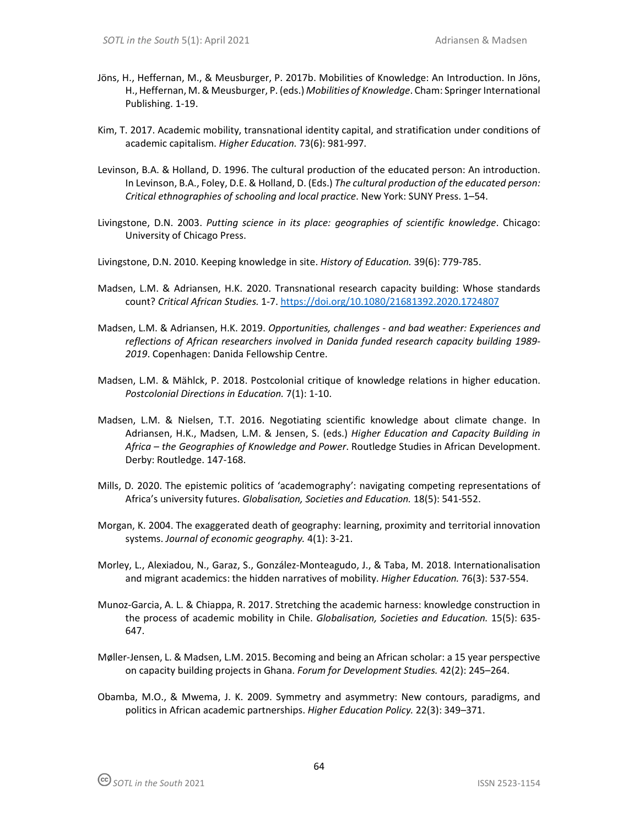- Jöns, H., Heffernan, M., & Meusburger, P. 2017b. Mobilities of Knowledge: An Introduction. In Jöns, H., Heffernan, M. & Meusburger, P. (eds.) *Mobilities of Knowledge*. Cham: Springer International Publishing. 1-19.
- Kim, T. 2017. Academic mobility, transnational identity capital, and stratification under conditions of academic capitalism. *Higher Education.* 73(6): 981-997.
- Levinson, B.A. & Holland, D. 1996. The cultural production of the educated person: An introduction. In Levinson, B.A., Foley, D.E. & Holland, D. (Eds.) *The cultural production of the educated person: Critical ethnographies of schooling and local practice*. New York: SUNY Press. 1–54.
- Livingstone, D.N. 2003. *Putting science in its place: geographies of scientific knowledge*. Chicago: University of Chicago Press.
- Livingstone, D.N. 2010. Keeping knowledge in site. *History of Education.* 39(6): 779-785.
- Madsen, L.M. & Adriansen, H.K. 2020. Transnational research capacity building: Whose standards count? *Critical African Studies.* 1-7. https://doi.org/10.1080/21681392.2020.1724807
- Madsen, L.M. & Adriansen, H.K. 2019. *Opportunities, challenges and bad weather: Experiences and reflections of African researchers involved in Danida funded research capacity building 1989- 2019*. Copenhagen: Danida Fellowship Centre.
- Madsen, L.M. & Mählck, P. 2018. Postcolonial critique of knowledge relations in higher education. *Postcolonial Directions in Education.* 7(1): 1-10.
- Madsen, L.M. & Nielsen, T.T. 2016. Negotiating scientific knowledge about climate change. In Adriansen, H.K., Madsen, L.M. & Jensen, S. (eds.) *Higher Education and Capacity Building in Africa – the Geographies of Knowledge and Power*. Routledge Studies in African Development. Derby: Routledge. 147-168.
- Mills, D. 2020. The epistemic politics of 'academography': navigating competing representations of Africa's university futures. *Globalisation, Societies and Education.* 18(5): 541-552.
- Morgan, K. 2004. The exaggerated death of geography: learning, proximity and territorial innovation systems. *Journal of economic geography.* 4(1): 3-21.
- Morley, L., Alexiadou, N., Garaz, S., González-Monteagudo, J., & Taba, M. 2018. Internationalisation and migrant academics: the hidden narratives of mobility. *Higher Education.* 76(3): 537-554.
- Munoz-Garcia, A. L. & Chiappa, R. 2017. Stretching the academic harness: knowledge construction in the process of academic mobility in Chile. *Globalisation, Societies and Education.* 15(5): 635- 647.
- Møller-Jensen, L. & Madsen, L.M. 2015. Becoming and being an African scholar: a 15 year perspective on capacity building projects in Ghana. *Forum for Development Studies.* 42(2): 245–264.
- Obamba, M.O., & Mwema, J. K. 2009. Symmetry and asymmetry: New contours, paradigms, and politics in African academic partnerships. *Higher Education Policy.* 22(3): 349–371.